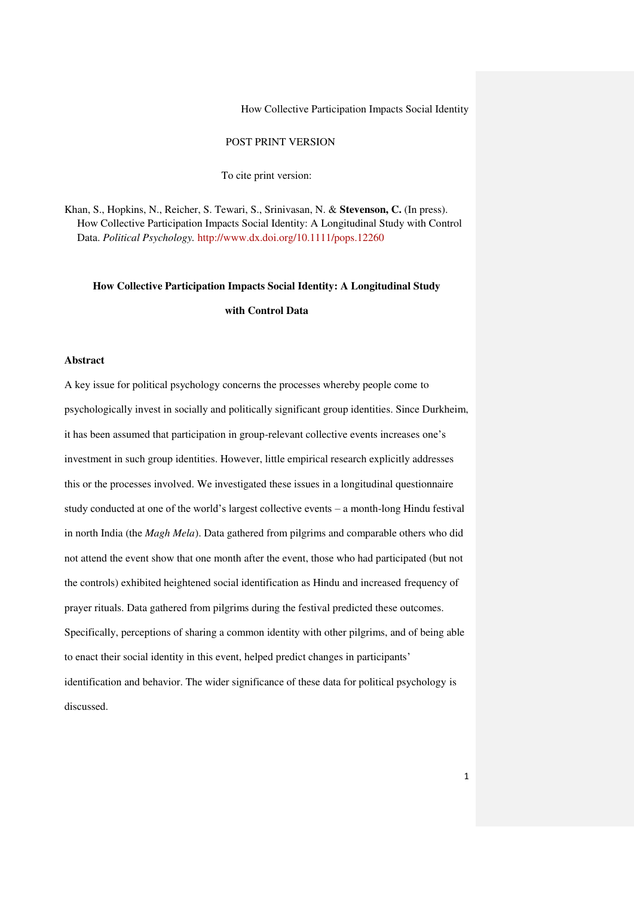# POST PRINT VERSION

To cite print version:

Khan, S., Hopkins, N., Reicher, S. Tewari, S., Srinivasan, N. & **Stevenson, C.** (In press). How Collective Participation Impacts Social Identity: A Longitudinal Study with Control Data. *Political Psychology.* [http://www.dx.doi.org/10.1111/pops.12260](https://webmail.anglia.ac.uk/owa/redir.aspx?SURL=xopNDSIy8LJIdES1Pff9WHiWymVB3TJ_7T-JHBaSYNPfmSdBKV3SCGgAdAB0AHAAOgAvAC8AdwB3AHcALgBkAHgALgBkAG8AaQAuAG8AcgBnAC8AMQAwAC4AMQAxADEAMQAvAHAAbwBwAHMALgAxADIAMgA2ADAA&URL=http%3a%2f%2fwww.dx.doi.org%2f10.1111%2fpops.12260)

**How Collective Participation Impacts Social Identity: A Longitudinal Study** 

**with Control Data** 

# **Abstract**

A key issue for political psychology concerns the processes whereby people come to psychologically invest in socially and politically significant group identities. Since Durkheim, it has been assumed that participation in group-relevant collective events increases one's investment in such group identities. However, little empirical research explicitly addresses this or the processes involved. We investigated these issues in a longitudinal questionnaire study conducted at one of the world's largest collective events – a month-long Hindu festival in north India (the *Magh Mela*). Data gathered from pilgrims and comparable others who did not attend the event show that one month after the event, those who had participated (but not the controls) exhibited heightened social identification as Hindu and increased frequency of prayer rituals. Data gathered from pilgrims during the festival predicted these outcomes. Specifically, perceptions of sharing a common identity with other pilgrims, and of being able to enact their social identity in this event, helped predict changes in participants' identification and behavior. The wider significance of these data for political psychology is discussed.

1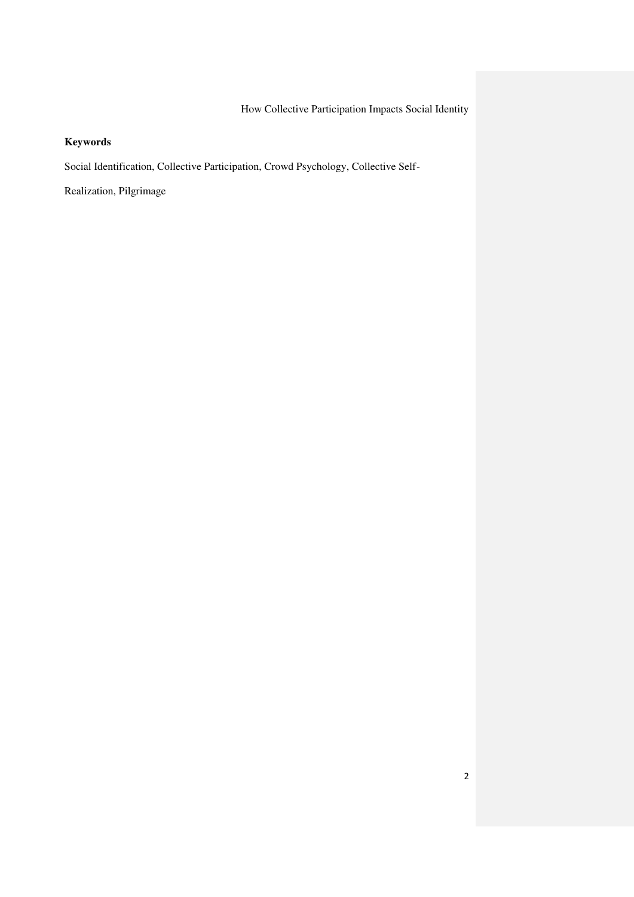# **Keywords**

Social Identification, Collective Participation, Crowd Psychology, Collective Self-

Realization, Pilgrimage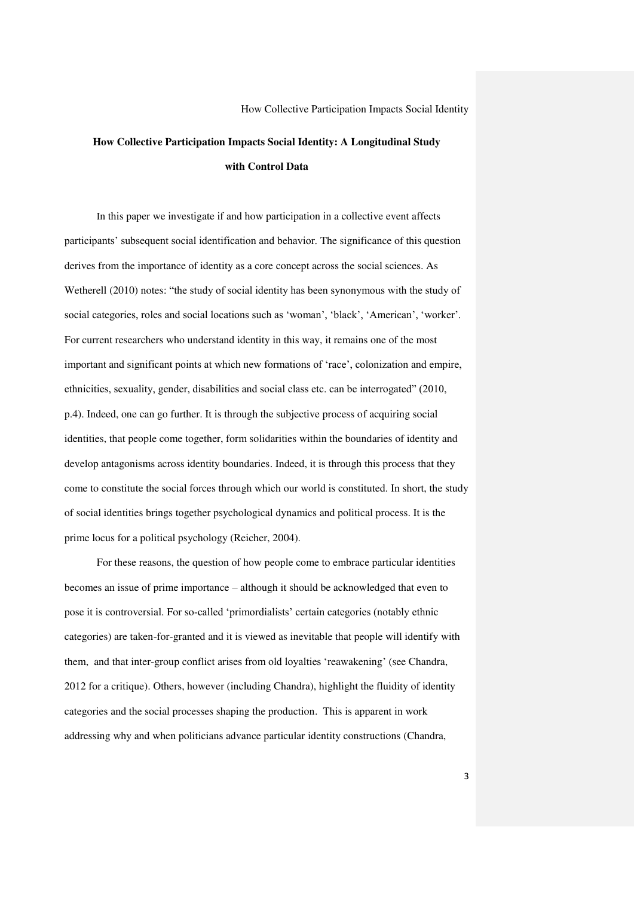# **How Collective Participation Impacts Social Identity: A Longitudinal Study with Control Data**

In this paper we investigate if and how participation in a collective event affects participants' subsequent social identification and behavior. The significance of this question derives from the importance of identity as a core concept across the social sciences. As Wetherell (2010) notes: "the study of social identity has been synonymous with the study of social categories, roles and social locations such as 'woman', 'black', 'American', 'worker'. For current researchers who understand identity in this way, it remains one of the most important and significant points at which new formations of 'race', colonization and empire, ethnicities, sexuality, gender, disabilities and social class etc. can be interrogated" (2010, p.4). Indeed, one can go further. It is through the subjective process of acquiring social identities, that people come together, form solidarities within the boundaries of identity and develop antagonisms across identity boundaries. Indeed, it is through this process that they come to constitute the social forces through which our world is constituted. In short, the study of social identities brings together psychological dynamics and political process. It is the prime locus for a political psychology (Reicher, 2004).

For these reasons, the question of how people come to embrace particular identities becomes an issue of prime importance – although it should be acknowledged that even to pose it is controversial. For so-called 'primordialists' certain categories (notably ethnic categories) are taken-for-granted and it is viewed as inevitable that people will identify with them, and that inter-group conflict arises from old loyalties 'reawakening' (see Chandra, 2012 for a critique). Others, however (including Chandra), highlight the fluidity of identity categories and the social processes shaping the production. This is apparent in work addressing why and when politicians advance particular identity constructions (Chandra,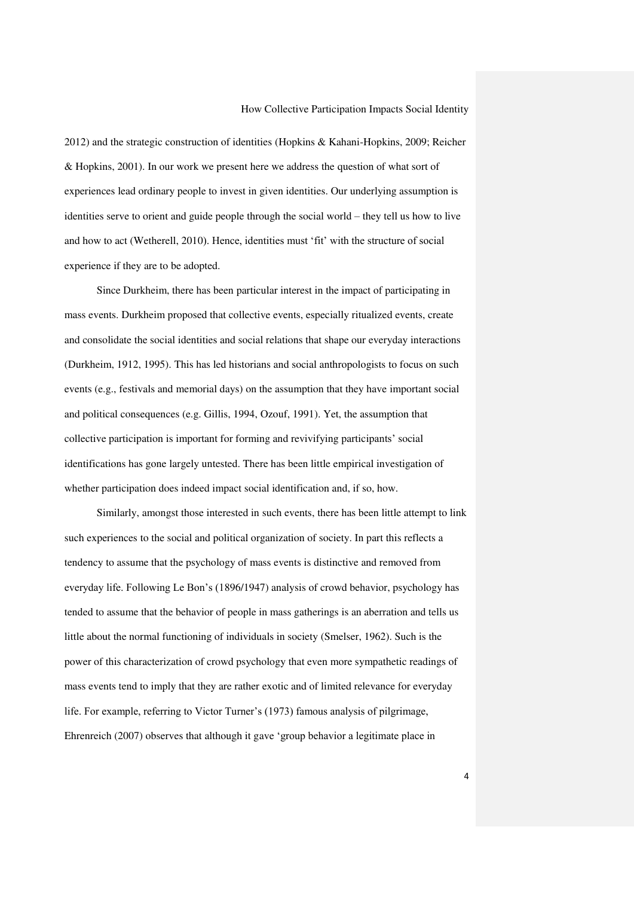2012) and the strategic construction of identities (Hopkins & Kahani-Hopkins, 2009; Reicher & Hopkins, 2001). In our work we present here we address the question of what sort of experiences lead ordinary people to invest in given identities. Our underlying assumption is identities serve to orient and guide people through the social world – they tell us how to live and how to act (Wetherell, 2010). Hence, identities must 'fit' with the structure of social experience if they are to be adopted.

Since Durkheim, there has been particular interest in the impact of participating in mass events. Durkheim proposed that collective events, especially ritualized events, create and consolidate the social identities and social relations that shape our everyday interactions (Durkheim, 1912, 1995). This has led historians and social anthropologists to focus on such events (e.g., festivals and memorial days) on the assumption that they have important social and political consequences (e.g. Gillis, 1994, Ozouf, 1991). Yet, the assumption that collective participation is important for forming and revivifying participants' social identifications has gone largely untested. There has been little empirical investigation of whether participation does indeed impact social identification and, if so, how.

Similarly, amongst those interested in such events, there has been little attempt to link such experiences to the social and political organization of society. In part this reflects a tendency to assume that the psychology of mass events is distinctive and removed from everyday life. Following Le Bon's (1896/1947) analysis of crowd behavior, psychology has tended to assume that the behavior of people in mass gatherings is an aberration and tells us little about the normal functioning of individuals in society (Smelser, 1962). Such is the power of this characterization of crowd psychology that even more sympathetic readings of mass events tend to imply that they are rather exotic and of limited relevance for everyday life. For example, referring to Victor Turner's (1973) famous analysis of pilgrimage, Ehrenreich (2007) observes that although it gave 'group behavior a legitimate place in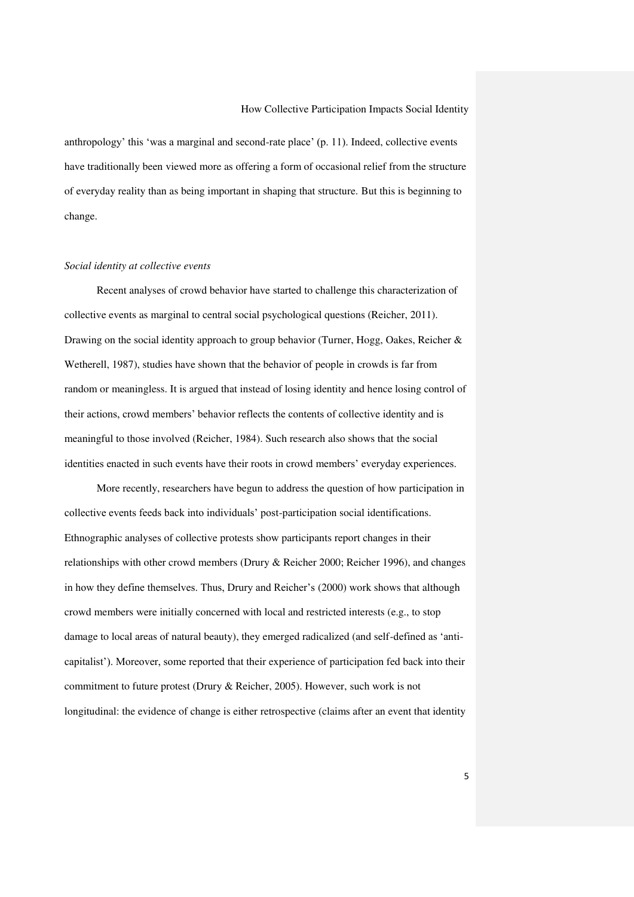anthropology' this 'was a marginal and second-rate place' (p. 11). Indeed, collective events have traditionally been viewed more as offering a form of occasional relief from the structure of everyday reality than as being important in shaping that structure. But this is beginning to change.

#### *Social identity at collective events*

Recent analyses of crowd behavior have started to challenge this characterization of collective events as marginal to central social psychological questions (Reicher, 2011). Drawing on the social identity approach to group behavior (Turner, Hogg, Oakes, Reicher & Wetherell, 1987), studies have shown that the behavior of people in crowds is far from random or meaningless. It is argued that instead of losing identity and hence losing control of their actions, crowd members' behavior reflects the contents of collective identity and is meaningful to those involved (Reicher, 1984). Such research also shows that the social identities enacted in such events have their roots in crowd members' everyday experiences.

More recently, researchers have begun to address the question of how participation in collective events feeds back into individuals' post-participation social identifications. Ethnographic analyses of collective protests show participants report changes in their relationships with other crowd members (Drury & Reicher 2000; Reicher 1996), and changes in how they define themselves. Thus, Drury and Reicher's (2000) work shows that although crowd members were initially concerned with local and restricted interests (e.g., to stop damage to local areas of natural beauty), they emerged radicalized (and self-defined as 'anticapitalist'). Moreover, some reported that their experience of participation fed back into their commitment to future protest (Drury & Reicher, 2005). However, such work is not longitudinal: the evidence of change is either retrospective (claims after an event that identity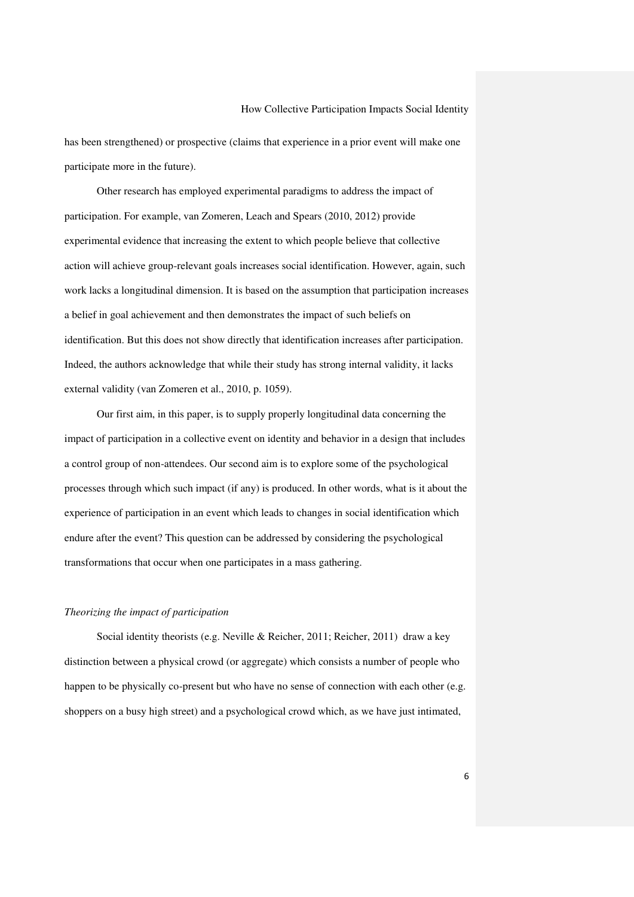has been strengthened) or prospective (claims that experience in a prior event will make one participate more in the future).

Other research has employed experimental paradigms to address the impact of participation. For example, van Zomeren, Leach and Spears (2010, 2012) provide experimental evidence that increasing the extent to which people believe that collective action will achieve group-relevant goals increases social identification. However, again, such work lacks a longitudinal dimension. It is based on the assumption that participation increases a belief in goal achievement and then demonstrates the impact of such beliefs on identification. But this does not show directly that identification increases after participation. Indeed, the authors acknowledge that while their study has strong internal validity, it lacks external validity (van Zomeren et al., 2010, p. 1059).

Our first aim, in this paper, is to supply properly longitudinal data concerning the impact of participation in a collective event on identity and behavior in a design that includes a control group of non-attendees. Our second aim is to explore some of the psychological processes through which such impact (if any) is produced. In other words, what is it about the experience of participation in an event which leads to changes in social identification which endure after the event? This question can be addressed by considering the psychological transformations that occur when one participates in a mass gathering.

#### *Theorizing the impact of participation*

Social identity theorists (e.g. Neville & Reicher, 2011; Reicher, 2011) draw a key distinction between a physical crowd (or aggregate) which consists a number of people who happen to be physically co-present but who have no sense of connection with each other (e.g. shoppers on a busy high street) and a psychological crowd which, as we have just intimated,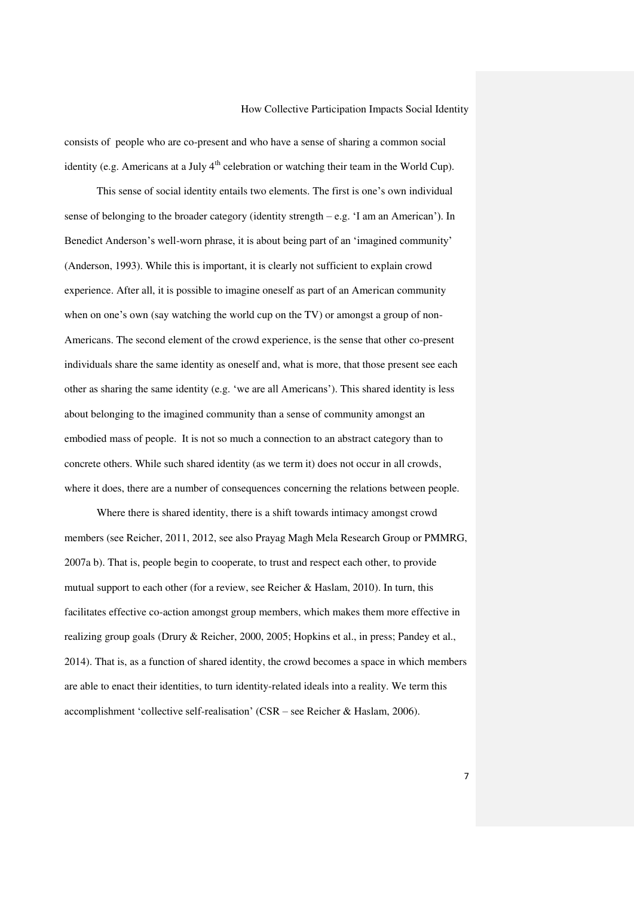consists of people who are co-present and who have a sense of sharing a common social identity (e.g. Americans at a July  $4<sup>th</sup>$  celebration or watching their team in the World Cup).

This sense of social identity entails two elements. The first is one's own individual sense of belonging to the broader category (identity strength  $-e.g.$  'I am an American'). In Benedict Anderson's well-worn phrase, it is about being part of an 'imagined community' (Anderson, 1993). While this is important, it is clearly not sufficient to explain crowd experience. After all, it is possible to imagine oneself as part of an American community when on one's own (say watching the world cup on the TV) or amongst a group of non-Americans. The second element of the crowd experience, is the sense that other co-present individuals share the same identity as oneself and, what is more, that those present see each other as sharing the same identity (e.g. 'we are all Americans'). This shared identity is less about belonging to the imagined community than a sense of community amongst an embodied mass of people. It is not so much a connection to an abstract category than to concrete others. While such shared identity (as we term it) does not occur in all crowds, where it does, there are a number of consequences concerning the relations between people.

Where there is shared identity, there is a shift towards intimacy amongst crowd members (see Reicher, 2011, 2012, see also Prayag Magh Mela Research Group or PMMRG, 2007a b). That is, people begin to cooperate, to trust and respect each other, to provide mutual support to each other (for a review, see Reicher & Haslam, 2010). In turn, this facilitates effective co-action amongst group members, which makes them more effective in realizing group goals (Drury & Reicher, 2000, 2005; Hopkins et al., in press; Pandey et al., 2014). That is, as a function of shared identity, the crowd becomes a space in which members are able to enact their identities, to turn identity-related ideals into a reality. We term this accomplishment 'collective self-realisation' (CSR – see Reicher & Haslam, 2006).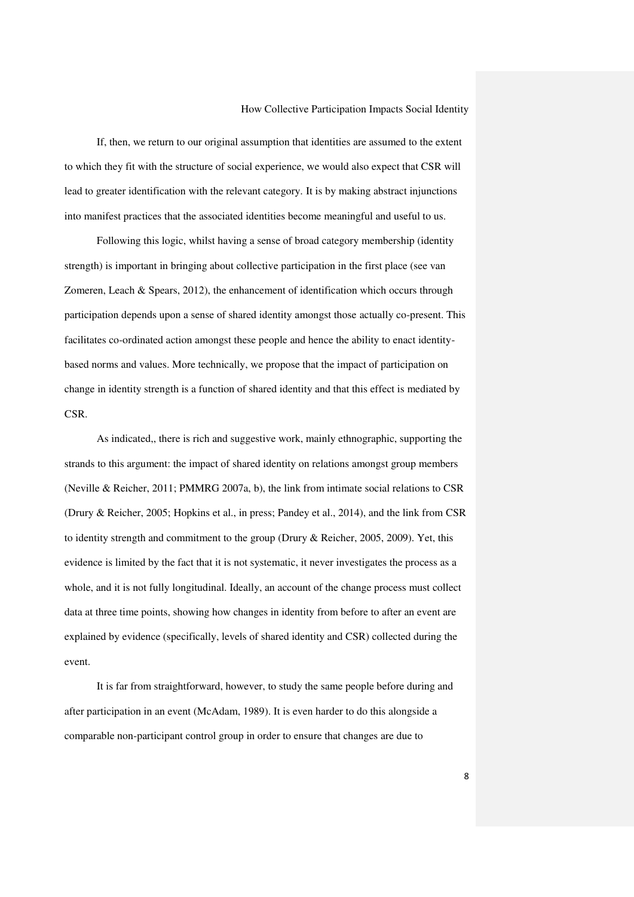If, then, we return to our original assumption that identities are assumed to the extent to which they fit with the structure of social experience, we would also expect that CSR will lead to greater identification with the relevant category. It is by making abstract injunctions into manifest practices that the associated identities become meaningful and useful to us.

Following this logic, whilst having a sense of broad category membership (identity strength) is important in bringing about collective participation in the first place (see van Zomeren, Leach & Spears, 2012), the enhancement of identification which occurs through participation depends upon a sense of shared identity amongst those actually co-present. This facilitates co-ordinated action amongst these people and hence the ability to enact identitybased norms and values. More technically, we propose that the impact of participation on change in identity strength is a function of shared identity and that this effect is mediated by CSR.

As indicated,, there is rich and suggestive work, mainly ethnographic, supporting the strands to this argument: the impact of shared identity on relations amongst group members (Neville & Reicher, 2011; PMMRG 2007a, b), the link from intimate social relations to CSR (Drury & Reicher, 2005; Hopkins et al., in press; Pandey et al., 2014), and the link from CSR to identity strength and commitment to the group (Drury & Reicher, 2005, 2009). Yet, this evidence is limited by the fact that it is not systematic, it never investigates the process as a whole, and it is not fully longitudinal. Ideally, an account of the change process must collect data at three time points, showing how changes in identity from before to after an event are explained by evidence (specifically, levels of shared identity and CSR) collected during the event.

It is far from straightforward, however, to study the same people before during and after participation in an event (McAdam, 1989). It is even harder to do this alongside a comparable non-participant control group in order to ensure that changes are due to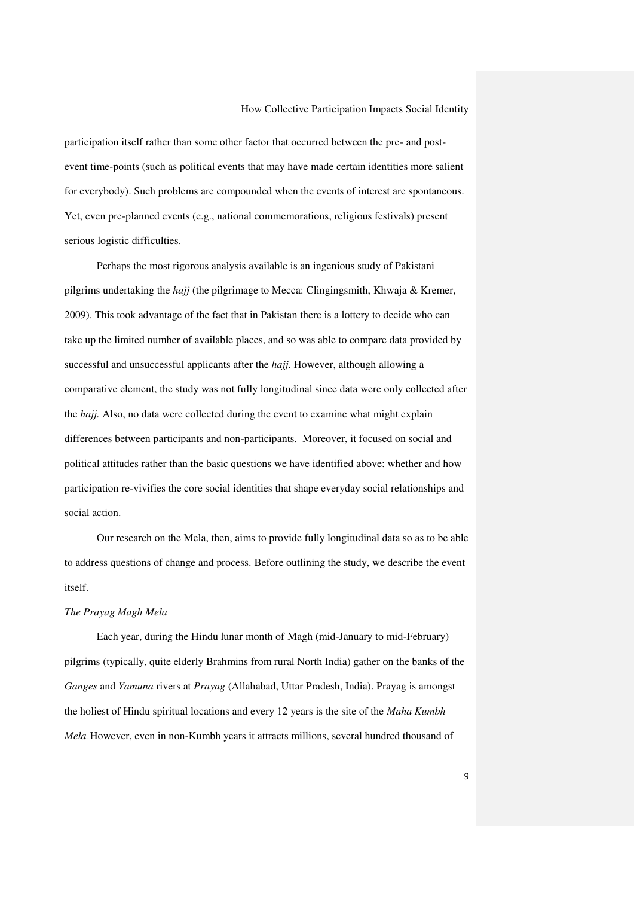participation itself rather than some other factor that occurred between the pre- and postevent time-points (such as political events that may have made certain identities more salient for everybody). Such problems are compounded when the events of interest are spontaneous. Yet, even pre-planned events (e.g., national commemorations, religious festivals) present serious logistic difficulties.

Perhaps the most rigorous analysis available is an ingenious study of Pakistani pilgrims undertaking the *hajj* (the pilgrimage to Mecca: Clingingsmith, Khwaja & Kremer, 2009). This took advantage of the fact that in Pakistan there is a lottery to decide who can take up the limited number of available places, and so was able to compare data provided by successful and unsuccessful applicants after the *hajj*. However, although allowing a comparative element, the study was not fully longitudinal since data were only collected after the *hajj.* Also, no data were collected during the event to examine what might explain differences between participants and non-participants. Moreover, it focused on social and political attitudes rather than the basic questions we have identified above: whether and how participation re-vivifies the core social identities that shape everyday social relationships and social action.

Our research on the Mela, then, aims to provide fully longitudinal data so as to be able to address questions of change and process. Before outlining the study, we describe the event itself.

### *The Prayag Magh Mela*

Each year, during the Hindu lunar month of Magh (mid-January to mid-February) pilgrims (typically, quite elderly Brahmins from rural North India) gather on the banks of the *Ganges* and *Yamuna* rivers at *Prayag* (Allahabad, Uttar Pradesh, India). Prayag is amongst the holiest of Hindu spiritual locations and every 12 years is the site of the *Maha Kumbh Mela.* However, even in non-Kumbh years it attracts millions, several hundred thousand of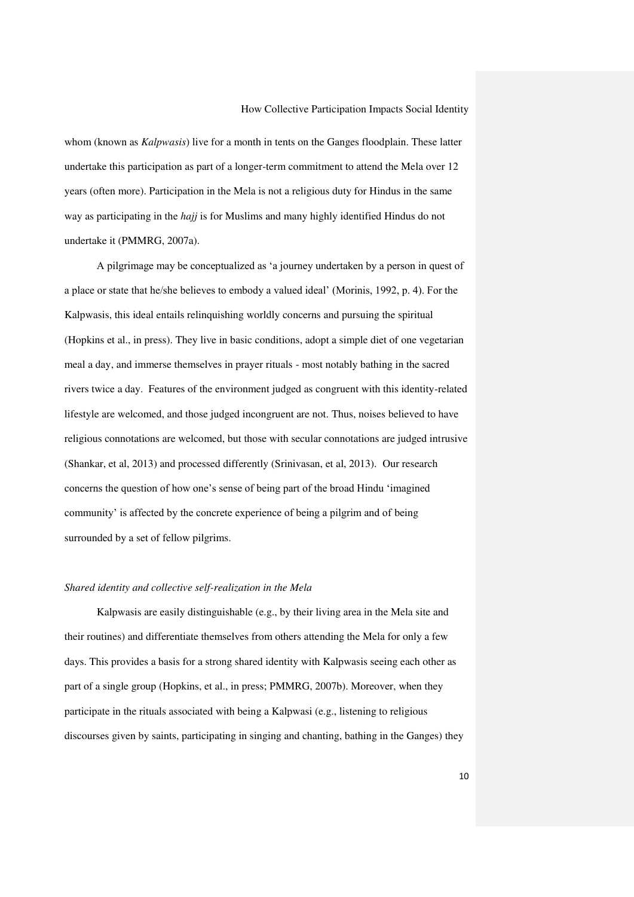whom (known as *Kalpwasis*) live for a month in tents on the Ganges floodplain. These latter undertake this participation as part of a longer-term commitment to attend the Mela over 12 years (often more). Participation in the Mela is not a religious duty for Hindus in the same way as participating in the *hajj* is for Muslims and many highly identified Hindus do not undertake it (PMMRG, 2007a).

A pilgrimage may be conceptualized as 'a journey undertaken by a person in quest of a place or state that he/she believes to embody a valued ideal' (Morinis, 1992, p. 4). For the Kalpwasis, this ideal entails relinquishing worldly concerns and pursuing the spiritual (Hopkins et al., in press). They live in basic conditions, adopt a simple diet of one vegetarian meal a day, and immerse themselves in prayer rituals - most notably bathing in the sacred rivers twice a day. Features of the environment judged as congruent with this identity-related lifestyle are welcomed, and those judged incongruent are not. Thus, noises believed to have religious connotations are welcomed, but those with secular connotations are judged intrusive (Shankar, et al, 2013) and processed differently (Srinivasan, et al, 2013). Our research concerns the question of how one's sense of being part of the broad Hindu 'imagined community' is affected by the concrete experience of being a pilgrim and of being surrounded by a set of fellow pilgrims.

# *Shared identity and collective self-realization in the Mela*

Kalpwasis are easily distinguishable (e.g., by their living area in the Mela site and their routines) and differentiate themselves from others attending the Mela for only a few days. This provides a basis for a strong shared identity with Kalpwasis seeing each other as part of a single group (Hopkins, et al., in press; PMMRG, 2007b). Moreover, when they participate in the rituals associated with being a Kalpwasi (e.g., listening to religious discourses given by saints, participating in singing and chanting, bathing in the Ganges) they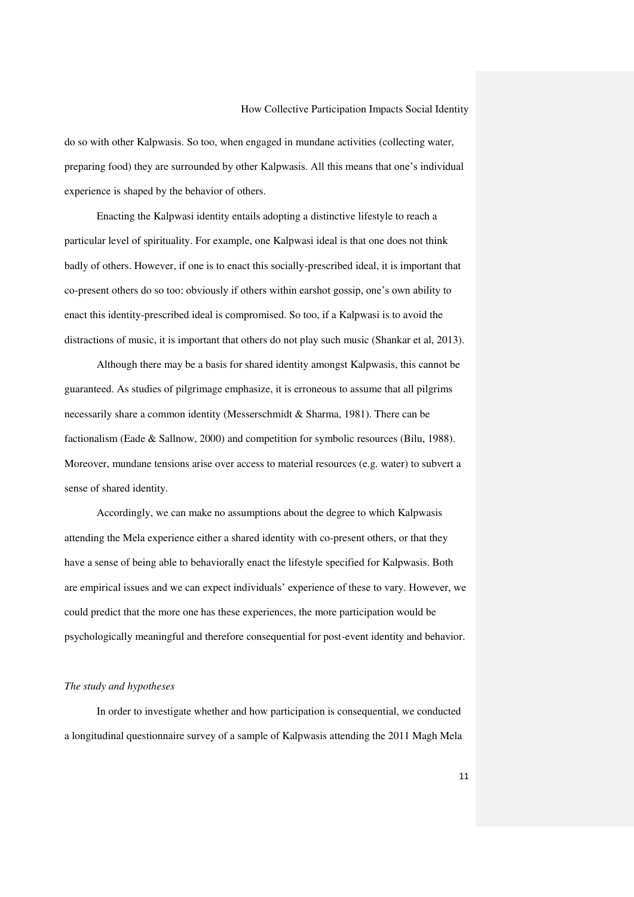do so with other Kalpwasis. So too, when engaged in mundane activities (collecting water, preparing food) they are surrounded by other Kalpwasis. All this means that one's individual experience is shaped by the behavior of others.

Enacting the Kalpwasi identity entails adopting a distinctive lifestyle to reach a particular level of spirituality. For example, one Kalpwasi ideal is that one does not think badly of others. However, if one is to enact this socially-prescribed ideal, it is important that co-present others do so too: obviously if others within earshot gossip, one's own ability to enact this identity-prescribed ideal is compromised. So too, if a Kalpwasi is to avoid the distractions of music, it is important that others do not play such music (Shankar et al, 2013).

Although there may be a basis for shared identity amongst Kalpwasis, this cannot be guaranteed. As studies of pilgrimage emphasize, it is erroneous to assume that all pilgrims necessarily share a common identity (Messerschmidt & Sharma, 1981). There can be factionalism (Eade & Sallnow, 2000) and competition for symbolic resources (Bilu, 1988). Moreover, mundane tensions arise over access to material resources (e.g. water) to subvert a sense of shared identity.

Accordingly, we can make no assumptions about the degree to which Kalpwasis attending the Mela experience either a shared identity with co-present others, or that they have a sense of being able to behaviorally enact the lifestyle specified for Kalpwasis. Both are empirical issues and we can expect individuals' experience of these to vary. However, we could predict that the more one has these experiences, the more participation would be psychologically meaningful and therefore consequential for post-event identity and behavior.

#### *The study and hypotheses*

In order to investigate whether and how participation is consequential, we conducted a longitudinal questionnaire survey of a sample of Kalpwasis attending the 2011 Magh Mela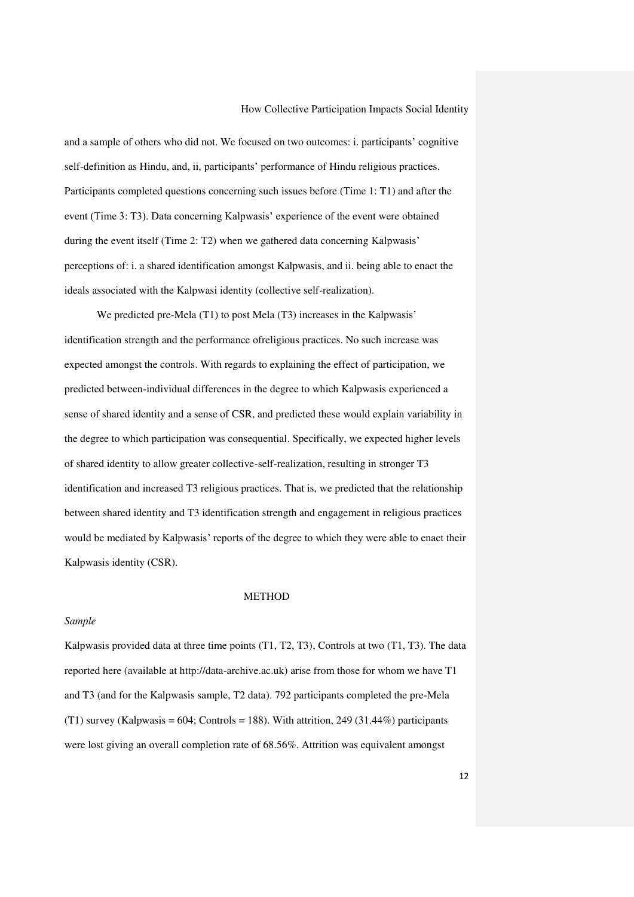and a sample of others who did not. We focused on two outcomes: i. participants' cognitive self-definition as Hindu, and, ii, participants' performance of Hindu religious practices. Participants completed questions concerning such issues before (Time 1: T1) and after the event (Time 3: T3). Data concerning Kalpwasis' experience of the event were obtained during the event itself (Time 2: T2) when we gathered data concerning Kalpwasis' perceptions of: i. a shared identification amongst Kalpwasis, and ii. being able to enact the ideals associated with the Kalpwasi identity (collective self-realization).

We predicted pre-Mela (T1) to post Mela (T3) increases in the Kalpwasis' identification strength and the performance ofreligious practices. No such increase was expected amongst the controls. With regards to explaining the effect of participation, we predicted between-individual differences in the degree to which Kalpwasis experienced a sense of shared identity and a sense of CSR, and predicted these would explain variability in the degree to which participation was consequential. Specifically, we expected higher levels of shared identity to allow greater collective-self-realization, resulting in stronger T3 identification and increased T3 religious practices. That is, we predicted that the relationship between shared identity and T3 identification strength and engagement in religious practices would be mediated by Kalpwasis' reports of the degree to which they were able to enact their Kalpwasis identity (CSR).

#### METHOD

#### *Sample*

Kalpwasis provided data at three time points (T1, T2, T3), Controls at two (T1, T3). The data reported here (available at [http://data-archive.ac.uk\)](http://data-archive.ac.uk/) arise from those for whom we have T1 and T3 (and for the Kalpwasis sample, T2 data). 792 participants completed the pre-Mela (T1) survey (Kalpwasis = 604; Controls = 188). With attrition, 249 (31.44%) participants were lost giving an overall completion rate of 68.56%. Attrition was equivalent amongst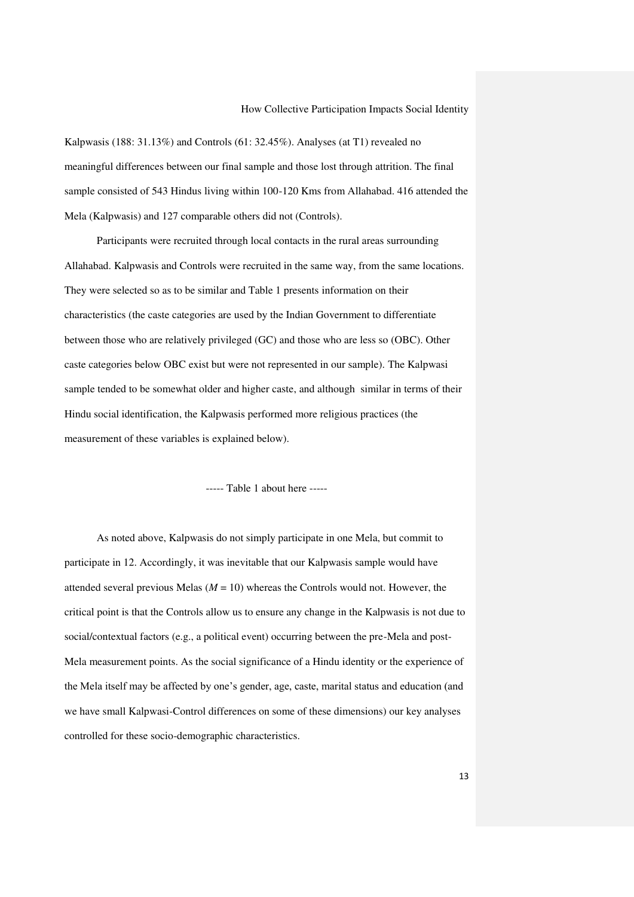Kalpwasis (188: 31.13%) and Controls (61: 32.45%). Analyses (at T1) revealed no meaningful differences between our final sample and those lost through attrition. The final sample consisted of 543 Hindus living within 100-120 Kms from Allahabad. 416 attended the Mela (Kalpwasis) and 127 comparable others did not (Controls).

Participants were recruited through local contacts in the rural areas surrounding Allahabad. Kalpwasis and Controls were recruited in the same way, from the same locations. They were selected so as to be similar and Table 1 presents information on their characteristics (the caste categories are used by the Indian Government to differentiate between those who are relatively privileged (GC) and those who are less so (OBC). Other caste categories below OBC exist but were not represented in our sample). The Kalpwasi sample tended to be somewhat older and higher caste, and although similar in terms of their Hindu social identification, the Kalpwasis performed more religious practices (the measurement of these variables is explained below).

----- Table 1 about here -----

As noted above, Kalpwasis do not simply participate in one Mela, but commit to participate in 12. Accordingly, it was inevitable that our Kalpwasis sample would have attended several previous Melas  $(M = 10)$  whereas the Controls would not. However, the critical point is that the Controls allow us to ensure any change in the Kalpwasis is not due to social/contextual factors (e.g., a political event) occurring between the pre-Mela and post-Mela measurement points. As the social significance of a Hindu identity or the experience of the Mela itself may be affected by one's gender, age, caste, marital status and education (and we have small Kalpwasi-Control differences on some of these dimensions) our key analyses controlled for these socio-demographic characteristics.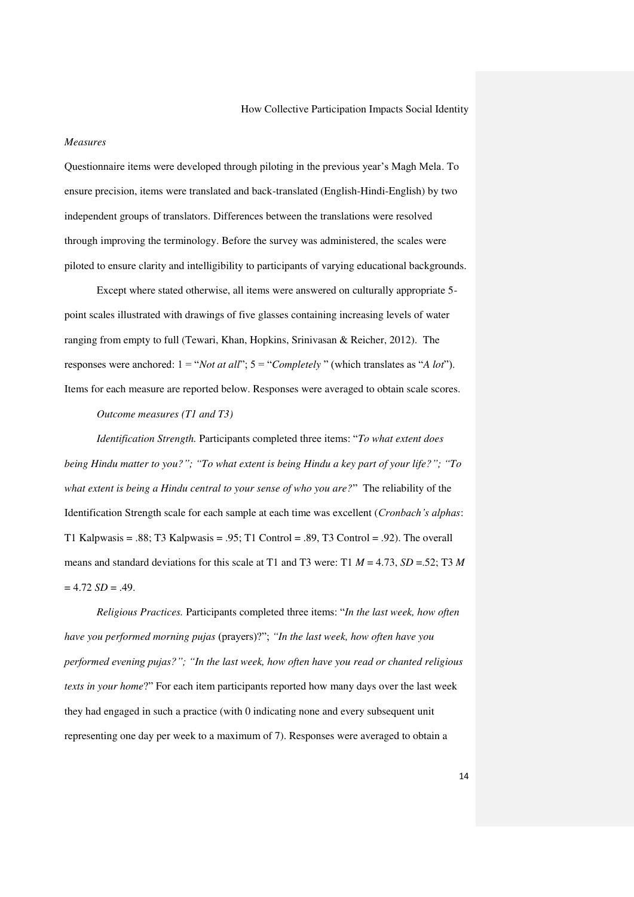#### *Measures*

Questionnaire items were developed through piloting in the previous year's Magh Mela. To ensure precision, items were translated and back-translated (English-Hindi-English) by two independent groups of translators. Differences between the translations were resolved through improving the terminology. Before the survey was administered, the scales were piloted to ensure clarity and intelligibility to participants of varying educational backgrounds.

Except where stated otherwise, all items were answered on culturally appropriate 5 point scales illustrated with drawings of five glasses containing increasing levels of water ranging from empty to full (Tewari, Khan, Hopkins, Srinivasan & Reicher, 2012). The responses were anchored: 1 = "*Not at all*"; 5 = "*Completely* " (which translates as "*A lot*"). Items for each measure are reported below. Responses were averaged to obtain scale scores.

# *Outcome measures (T1 and T3)*

*Identification Strength.* Participants completed three items: "*To what extent does being Hindu matter to you?"; "To what extent is being Hindu a key part of your life?"; "To what extent is being a Hindu central to your sense of who you are?*" The reliability of the Identification Strength scale for each sample at each time was excellent (*Cronbach's alphas*: T1 Kalpwasis = .88; T3 Kalpwasis = .95; T1 Control = .89, T3 Control = .92). The overall means and standard deviations for this scale at T1 and T3 were: T1 *M* = 4.73, *SD* =.52; T3 *M*  $= 4.72$  *SD* = .49.

*Religious Practices.* Participants completed three items: "*In the last week, how often have you performed morning pujas* (prayers)?"; *"In the last week, how often have you performed evening pujas?"; "In the last week, how often have you read or chanted religious texts in your home*?" For each item participants reported how many days over the last week they had engaged in such a practice (with 0 indicating none and every subsequent unit representing one day per week to a maximum of 7). Responses were averaged to obtain a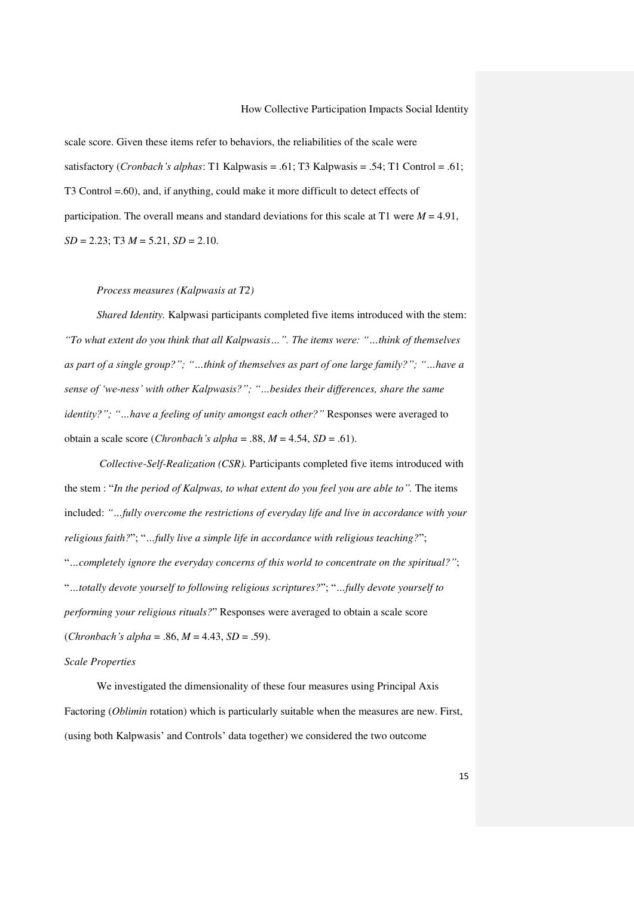scale score. Given these items refer to behaviors, the reliabilities of the scale were satisfactory (*Cronbach's alphas*: T1 Kalpwasis = .61; T3 Kalpwasis = .54; T1 Control = .61; T3 Control =.60), and, if anything, could make it more difficult to detect effects of participation. The overall means and standard deviations for this scale at T1 were  $M = 4.91$ , *SD* = 2.23; T3 *M* = 5.21, *SD* = 2.10.

#### *Process measures (Kalpwasis at T2)*

*Shared Identity.* Kalpwasi participants completed five items introduced with the stem: *"To what extent do you think that all Kalpwasis…". The items were: "…think of themselves as part of a single group?"; "…think of themselves as part of one large family?"; "…have a sense of 'we-ness' with other Kalpwasis?"; "…besides their differences, share the same identity?"; "...have a feeling of unity amongst each other?"* Responses were averaged to obtain a scale score (*Chronbach's alpha* = .88, *M* = 4.54, *SD* = .61).

*Collective-Self-Realization (CSR).* Participants completed five items introduced with the stem : "*In the period of Kalpwas, to what extent do you feel you are able to".* The items included: *"…fully overcome the restrictions of everyday life and live in accordance with your religious faith?*"; "*…fully live a simple life in accordance with religious teaching?*"; "*…completely ignore the everyday concerns of this world to concentrate on the spiritual?"*; "*…totally devote yourself to following religious scriptures?*"; "*…fully devote yourself to performing your religious rituals?*" Responses were averaged to obtain a scale score  $(Chronbach's alpha = .86, M = 4.43, SD = .59).$ 

# *Scale Properties*

We investigated the dimensionality of these four measures using Principal Axis Factoring (*Oblimin* rotation) which is particularly suitable when the measures are new. First, (using both Kalpwasis' and Controls' data together) we considered the two outcome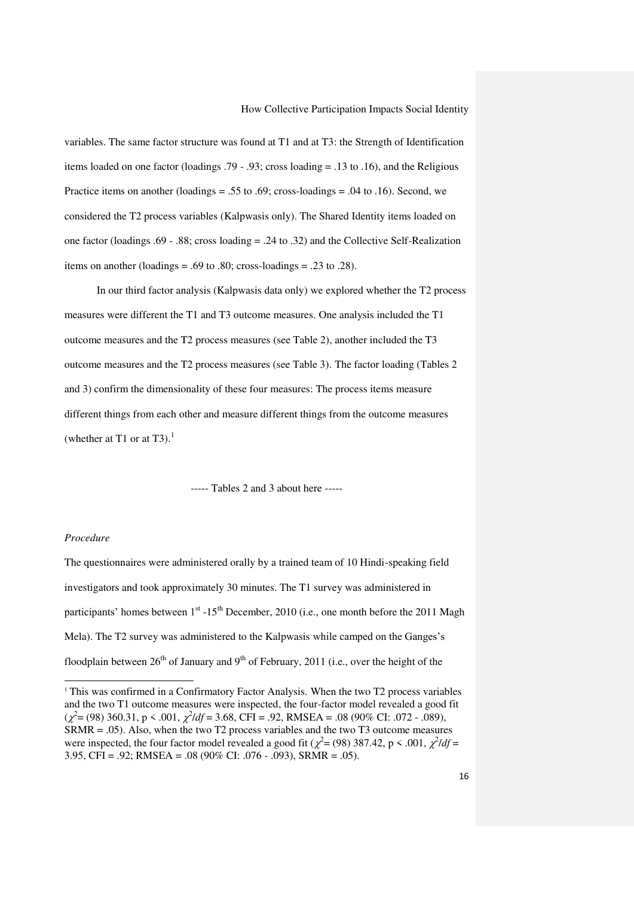variables. The same factor structure was found at T1 and at T3: the Strength of Identification items loaded on one factor (loadings .79 - .93; cross loading = .13 to .16), and the Religious Practice items on another (loadings = .55 to .69; cross-loadings = .04 to .16). Second, we considered the T2 process variables (Kalpwasis only). The Shared Identity items loaded on one factor (loadings .69 - .88; cross loading = .24 to .32) and the Collective Self-Realization items on another (loadings = .69 to .80; cross-loadings = .23 to .28).

In our third factor analysis (Kalpwasis data only) we explored whether the T2 process measures were different the T1 and T3 outcome measures. One analysis included the T1 outcome measures and the T2 process measures (see Table 2), another included the T3 outcome measures and the T2 process measures (see Table 3). The factor loading (Tables 2 and 3) confirm the dimensionality of these four measures: The process items measure different things from each other and measure different things from the outcome measures (whether at T1 or at T3). $<sup>1</sup>$ </sup>

----- Tables 2 and 3 about here -----

#### *Procedure*

l

The questionnaires were administered orally by a trained team of 10 Hindi-speaking field investigators and took approximately 30 minutes. The T1 survey was administered in participants' homes between  $1<sup>st</sup> -15<sup>th</sup>$  December, 2010 (i.e., one month before the 2011 Magh Mela). The T2 survey was administered to the Kalpwasis while camped on the Ganges's floodplain between  $26<sup>th</sup>$  of January and  $9<sup>th</sup>$  of February, 2011 (i.e., over the height of the

<sup>1</sup> This was confirmed in a Confirmatory Factor Analysis. When the two T2 process variables and the two T1 outcome measures were inspected, the four-factor model revealed a good fit  $(\chi^2 = (98) 360.31, p \le 0.001, \chi^2/df = 3.68, \text{CFI} = 0.92, \text{RMSEA} = 0.08 (90\% \text{ CI} : 0.072 - 0.089),$ SRMR = .05). Also, when the two T2 process variables and the two T3 outcome measures were inspected, the four factor model revealed a good fit ( $\chi^2$  = (98) 387.42, p < .001,  $\chi^2$ /df = 3.95, CFI = .92; RMSEA = .08 (90% CI: .076 - .093), SRMR = .05).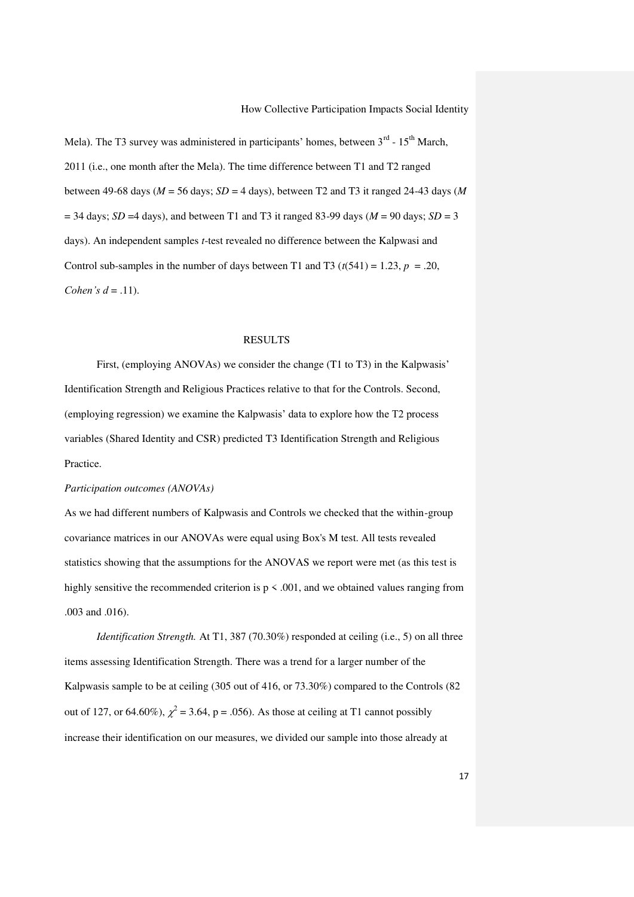Mela). The T3 survey was administered in participants' homes, between  $3<sup>rd</sup>$  -  $15<sup>th</sup>$  March, 2011 (i.e., one month after the Mela). The time difference between T1 and T2 ranged between 49-68 days (*M* = 56 days; *SD* = 4 days), between T2 and T3 it ranged 24-43 days (*M*  $=$  34 days; *SD* = 4 days), and between T1 and T3 it ranged 83-99 days ( $M = 90$  days; *SD* = 3 days). An independent samples *t*-test revealed no difference between the Kalpwasi and Control sub-samples in the number of days between T1 and T3 ( $t(541) = 1.23$ ,  $p = .20$ , *Cohen's d* = .11).

#### RESULTS

First, (employing ANOVAs) we consider the change (T1 to T3) in the Kalpwasis' Identification Strength and Religious Practices relative to that for the Controls. Second, (employing regression) we examine the Kalpwasis' data to explore how the T2 process variables (Shared Identity and CSR) predicted T3 Identification Strength and Religious Practice.

#### *Participation outcomes (ANOVAs)*

As we had different numbers of Kalpwasis and Controls we checked that the within-group covariance matrices in our ANOVAs were equal using Box's M test. All tests revealed statistics showing that the assumptions for the ANOVAS we report were met (as this test is highly sensitive the recommended criterion is  $p \le 0.001$ , and we obtained values ranging from .003 and .016).

*Identification Strength.* At T1, 387 (70.30%) responded at ceiling (i.e., 5) on all three items assessing Identification Strength. There was a trend for a larger number of the Kalpwasis sample to be at ceiling (305 out of 416, or 73.30%) compared to the Controls (82 out of 127, or 64.60%),  $\chi^2$  = 3.64, p = .056). As those at ceiling at T1 cannot possibly increase their identification on our measures, we divided our sample into those already at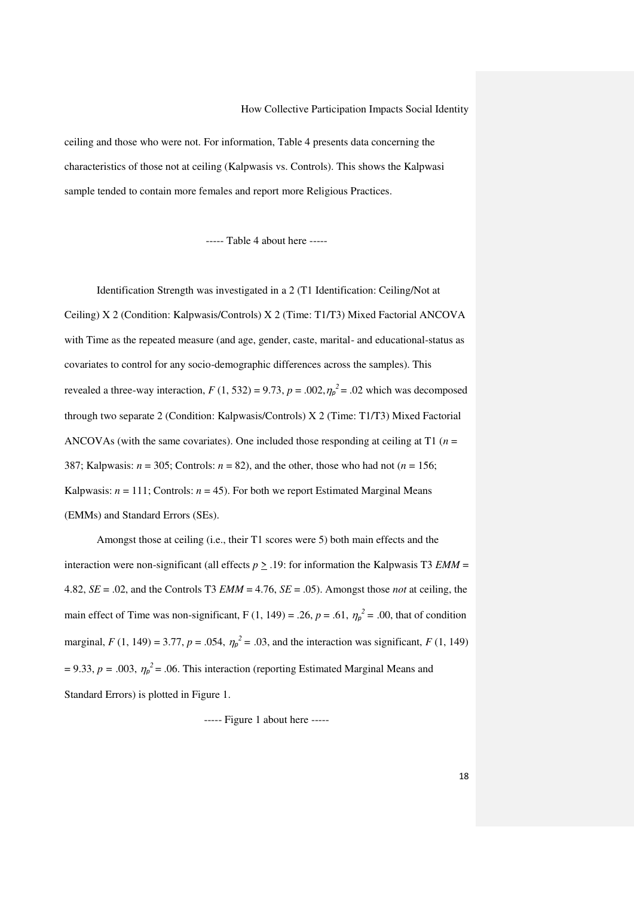ceiling and those who were not. For information, Table 4 presents data concerning the characteristics of those not at ceiling (Kalpwasis vs. Controls). This shows the Kalpwasi sample tended to contain more females and report more Religious Practices.

----- Table 4 about here -----

Identification Strength was investigated in a 2 (T1 Identification: Ceiling/Not at Ceiling) X 2 (Condition: Kalpwasis/Controls) X 2 (Time: T1/T3) Mixed Factorial ANCOVA with Time as the repeated measure (and age, gender, caste, marital- and educational-status as covariates to control for any socio-demographic differences across the samples). This revealed a three-way interaction,  $F(1, 532) = 9.73$ ,  $p = .002$ ,  $\eta_p^2 = .02$  which was decomposed through two separate 2 (Condition: Kalpwasis/Controls) X 2 (Time: T1/T3) Mixed Factorial ANCOVAs (with the same covariates). One included those responding at ceiling at T1 (*n* = 387; Kalpwasis:  $n = 305$ ; Controls:  $n = 82$ ), and the other, those who had not ( $n = 156$ ; Kalpwasis:  $n = 111$ ; Controls:  $n = 45$ ). For both we report Estimated Marginal Means (EMMs) and Standard Errors (SEs).

Amongst those at ceiling (i.e., their T1 scores were 5) both main effects and the interaction were non-significant (all effects  $p \ge 0.19$ : for information the Kalpwasis T3 *EMM* = 4.82,  $SE = .02$ , and the Controls T3 *EMM* = 4.76,  $SE = .05$ ). Amongst those *not* at ceiling, the main effect of Time was non-significant, F (1, 149) = .26,  $p = .61$ ,  $\eta_p^2 = .00$ , that of condition marginal,  $F(1, 149) = 3.77$ ,  $p = .054$ ,  $\eta_p^2 = .03$ , and the interaction was significant,  $F(1, 149)$  $= 9.33, p = .003, \eta_p^2 = .06$ . This interaction (reporting Estimated Marginal Means and Standard Errors) is plotted in Figure 1.

----- Figure 1 about here -----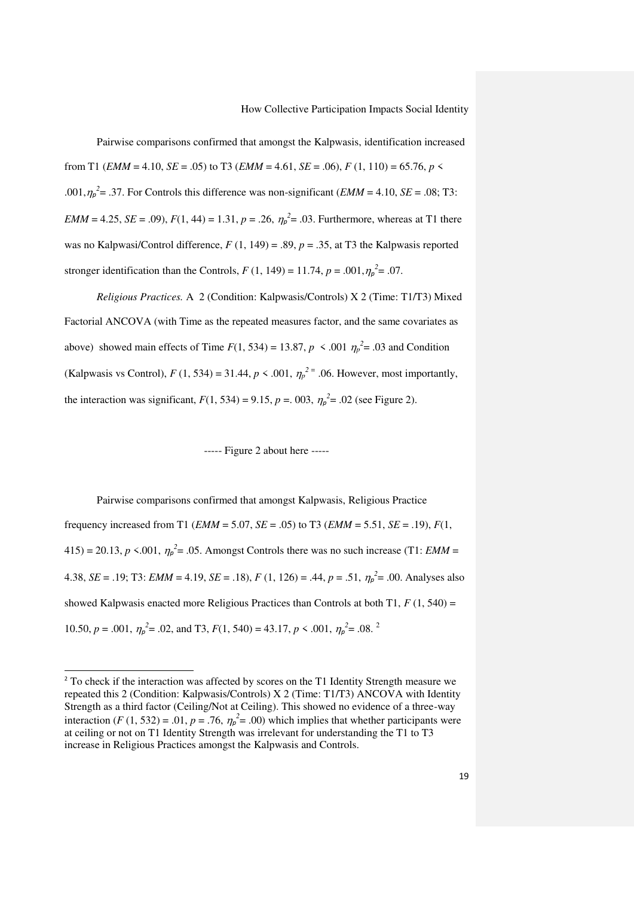Pairwise comparisons confirmed that amongst the Kalpwasis, identification increased from T1 (*EMM* = 4.10, *SE* = .05) to T3 (*EMM* = 4.61, *SE* = .06), *F* (1, 110) = 65.76, *p* < .001, $\eta_p^2$  = .37. For Controls this difference was non-significant (*EMM* = 4.10, *SE* = .08; T3: *EMM* = 4.25, *SE* = .09),  $F(1, 44) = 1.31$ ,  $p = .26$ ,  $\eta_p^2 = .03$ . Furthermore, whereas at T1 there was no Kalpwasi/Control difference, *F* (1, 149) = .89, *p* = .35, at T3 the Kalpwasis reported stronger identification than the Controls,  $F(1, 149) = 11.74$ ,  $p = .001$ ,  $\eta_p^2 = .07$ .

*Religious Practices.* A 2 (Condition: Kalpwasis/Controls) X 2 (Time: T1/T3) Mixed Factorial ANCOVA (with Time as the repeated measures factor, and the same covariates as above) showed main effects of Time  $F(1, 534) = 13.87$ ,  $p \le .001$   $\eta_p^2 = .03$  and Condition (Kalpwasis vs Control),  $F(1, 534) = 31.44$ ,  $p \le 0.001$ ,  $\eta_p^2 = 0.06$ . However, most importantly, the interaction was significant,  $F(1, 534) = 9.15$ ,  $p = .003$ ,  $\eta_p^2 = .02$  (see Figure 2).

----- Figure 2 about here -----

Pairwise comparisons confirmed that amongst Kalpwasis, Religious Practice frequency increased from T1 (*EMM* = 5.07, *SE* = .05) to T3 (*EMM* = 5.51, *SE* = .19), *F*(1,  $415$ ) = 20.13, *p* <.001,  $\eta_p^2$  = .05. Amongst Controls there was no such increase (T1: *EMM* = 4.38, *SE* = .19; T3: *EMM* = 4.19, *SE* = .18), *F* (1, 126) = .44, *p* = .51,  $\eta_p^2$  = .00. Analyses also showed Kalpwasis enacted more Religious Practices than Controls at both T1,  $F(1, 540) =$ 10.50,  $p = .001$ ,  $\eta_p^2 = .02$ , and T3,  $F(1, 540) = 43.17$ ,  $p \le .001$ ,  $\eta_p^2 = .08$ . <sup>2</sup>

l

<sup>&</sup>lt;sup>2</sup> To check if the interaction was affected by scores on the T1 Identity Strength measure we repeated this 2 (Condition: Kalpwasis/Controls) X 2 (Time: T1/T3) ANCOVA with Identity Strength as a third factor (Ceiling/Not at Ceiling). This showed no evidence of a three-way interaction (*F* (1, 532) = .01, *p* = .76,  $\eta_p^2$  = .00) which implies that whether participants were at ceiling or not on T1 Identity Strength was irrelevant for understanding the T1 to T3 increase in Religious Practices amongst the Kalpwasis and Controls.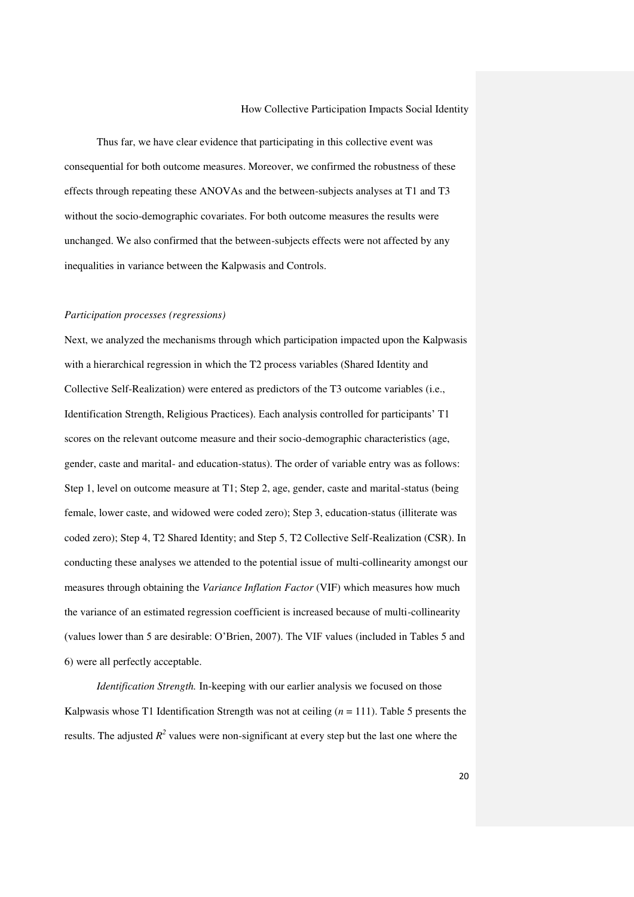Thus far, we have clear evidence that participating in this collective event was consequential for both outcome measures. Moreover, we confirmed the robustness of these effects through repeating these ANOVAs and the between-subjects analyses at T1 and T3 without the socio-demographic covariates. For both outcome measures the results were unchanged. We also confirmed that the between-subjects effects were not affected by any inequalities in variance between the Kalpwasis and Controls.

### *Participation processes (regressions)*

Next, we analyzed the mechanisms through which participation impacted upon the Kalpwasis with a hierarchical regression in which the T2 process variables (Shared Identity and Collective Self-Realization) were entered as predictors of the T3 outcome variables (i.e., Identification Strength, Religious Practices). Each analysis controlled for participants' T1 scores on the relevant outcome measure and their socio-demographic characteristics (age, gender, caste and marital- and education-status). The order of variable entry was as follows: Step 1, level on outcome measure at T1; Step 2, age, gender, caste and marital-status (being female, lower caste, and widowed were coded zero); Step 3, education-status (illiterate was coded zero); Step 4, T2 Shared Identity; and Step 5, T2 Collective Self-Realization (CSR). In conducting these analyses we attended to the potential issue of multi-collinearity amongst our measures through obtaining the *Variance Inflation Factor* (VIF) which measures how much the variance of an estimated regression coefficient is increased because of multi-collinearity (values lower than 5 are desirable: O'Brien, 2007). The VIF values (included in Tables 5 and 6) were all perfectly acceptable.

*Identification Strength.* In-keeping with our earlier analysis we focused on those Kalpwasis whose T1 Identification Strength was not at ceiling  $(n = 111)$ . Table 5 presents the results. The adjusted  $R^2$  values were non-significant at every step but the last one where the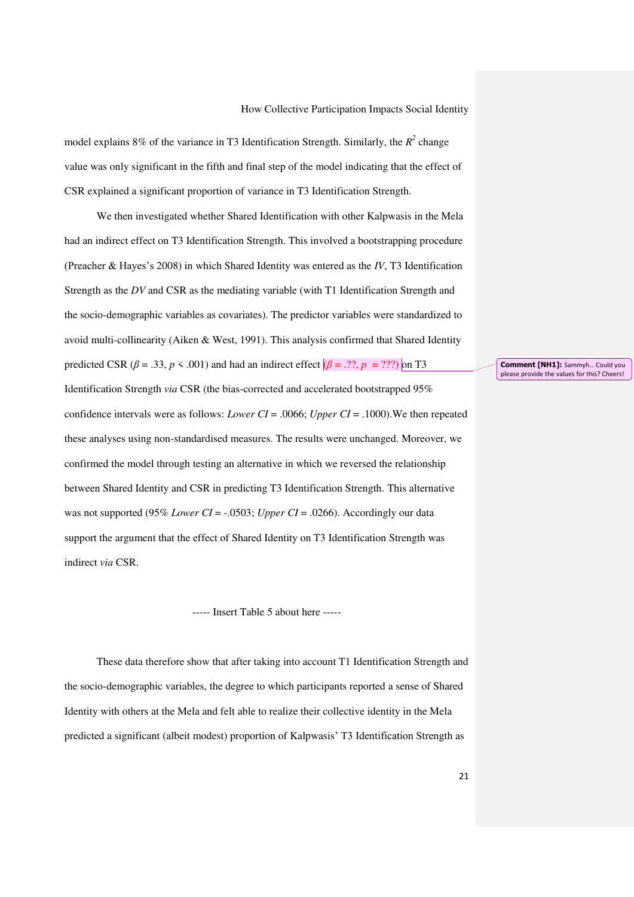model explains 8% of the variance in T3 Identification Strength. Similarly, the  $R^2$  change value was only significant in the fifth and final step of the model indicating that the effect of CSR explained a significant proportion of variance in T3 Identification Strength.

We then investigated whether Shared Identification with other Kalpwasis in the Mela had an indirect effect on T3 Identification Strength. This involved a bootstrapping procedure (Preacher & Hayes's 2008) in which Shared Identity was entered as the *IV*, T3 Identification Strength as the *DV* and CSR as the mediating variable (with T1 Identification Strength and the socio-demographic variables as covariates). The predictor variables were standardized to avoid multi-collinearity (Aiken & West, 1991). This analysis confirmed that Shared Identity predicted CSR ( $\beta$  = .33,  $p \le$  .001) and had an indirect effect  $(\beta$  = .??,  $p =$  ???) on T3 Identification Strength *via* CSR (the bias-corrected and accelerated bootstrapped 95% confidence intervals were as follows: *Lower CI* = .0066; *Upper CI* = .1000).We then repeated these analyses using non-standardised measures. The results were unchanged. Moreover, we confirmed the model through testing an alternative in which we reversed the relationship between Shared Identity and CSR in predicting T3 Identification Strength. This alternative was not supported (95% *Lower CI* = -.0503; *Upper CI* = .0266). Accordingly our data support the argument that the effect of Shared Identity on T3 Identification Strength was indirect *via* CSR.

#### ----- Insert Table 5 about here -----

These data therefore show that after taking into account T1 Identification Strength and the socio-demographic variables, the degree to which participants reported a sense of Shared Identity with others at the Mela and felt able to realize their collective identity in the Mela predicted a significant (albeit modest) proportion of Kalpwasis' T3 Identification Strength as

**Comment [NH1]:** Sammyh… Could you please provide the values for this? Cheers!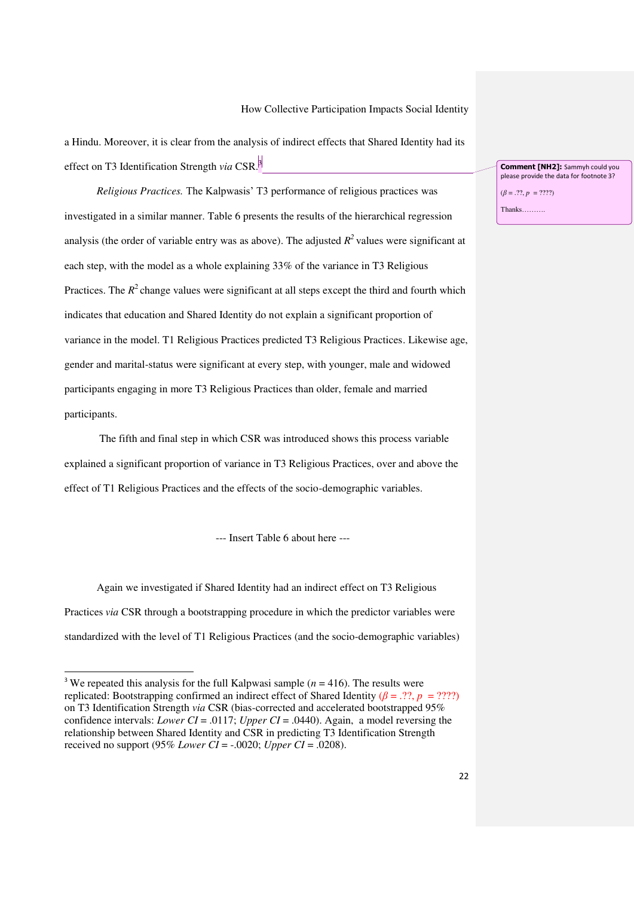a Hindu. Moreover, it is clear from the analysis of indirect effects that Shared Identity had its effect on T3 Identification Strength *via* CSR. 3

*Religious Practices.* The Kalpwasis' T3 performance of religious practices was investigated in a similar manner. Table 6 presents the results of the hierarchical regression analysis (the order of variable entry was as above). The adjusted  $R^2$  values were significant at each step, with the model as a whole explaining 33% of the variance in T3 Religious Practices. The  $R^2$  change values were significant at all steps except the third and fourth which indicates that education and Shared Identity do not explain a significant proportion of variance in the model. T1 Religious Practices predicted T3 Religious Practices. Likewise age, gender and marital-status were significant at every step, with younger, male and widowed participants engaging in more T3 Religious Practices than older, female and married participants.

 The fifth and final step in which CSR was introduced shows this process variable explained a significant proportion of variance in T3 Religious Practices, over and above the effect of T1 Religious Practices and the effects of the socio-demographic variables.

--- Insert Table 6 about here ---

Again we investigated if Shared Identity had an indirect effect on T3 Religious Practices *via* CSR through a bootstrapping procedure in which the predictor variables were standardized with the level of T1 Religious Practices (and the socio-demographic variables)

l

**Comment [NH2]:** Sammyh could you please provide the data for footnote 3?

(*β* = .??, *p* = ????)

Thanks……….

<sup>&</sup>lt;sup>3</sup> We repeated this analysis for the full Kalpwasi sample ( $n = 416$ ). The results were replicated: Bootstrapping confirmed an indirect effect of Shared Identity ( $\beta = .?$ ?,  $p = ??$ ??) on T3 Identification Strength *via* CSR (bias-corrected and accelerated bootstrapped 95% confidence intervals: *Lower CI* = .0117; *Upper CI* = .0440). Again, a model reversing the relationship between Shared Identity and CSR in predicting T3 Identification Strength received no support (95% *Lower CI* = -.0020; *Upper CI* = .0208).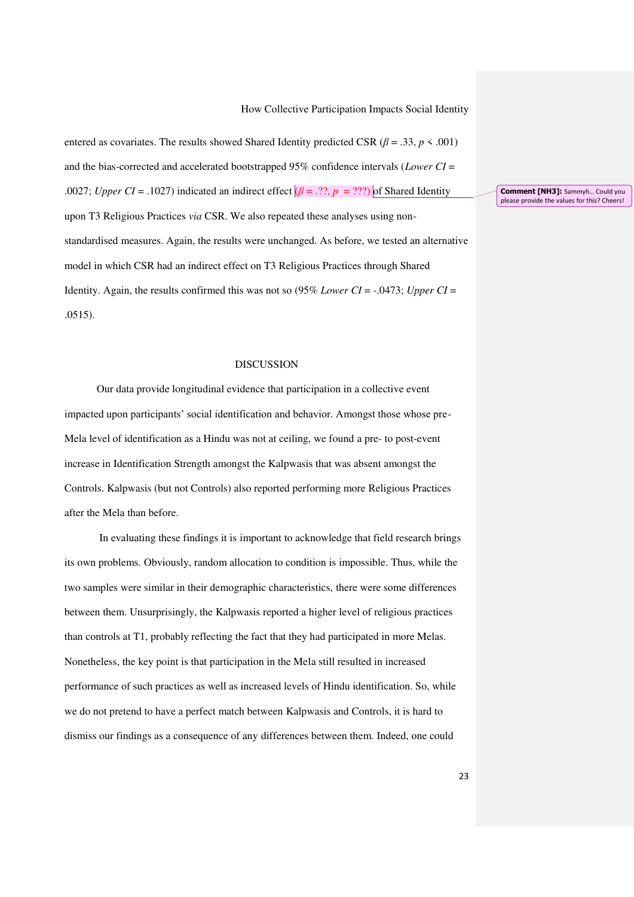entered as covariates. The results showed Shared Identity predicted CSR ( $\beta$  = .33, *p* < .001) and the bias-corrected and accelerated bootstrapped 95% confidence intervals (*Lower CI* = .0027; *Upper CI* = .1027) indicated an indirect effect  $(\beta = .??, p = ???)$  of Shared Identity upon T3 Religious Practices *via* CSR. We also repeated these analyses using nonstandardised measures. Again, the results were unchanged. As before, we tested an alternative model in which CSR had an indirect effect on T3 Religious Practices through Shared Identity. Again, the results confirmed this was not so (95% *Lower CI* = -.0473; *Upper CI* = .0515).

#### DISCUSSION

Our data provide longitudinal evidence that participation in a collective event impacted upon participants' social identification and behavior. Amongst those whose pre-Mela level of identification as a Hindu was not at ceiling, we found a pre- to post-event increase in Identification Strength amongst the Kalpwasis that was absent amongst the Controls. Kalpwasis (but not Controls) also reported performing more Religious Practices after the Mela than before.

 In evaluating these findings it is important to acknowledge that field research brings its own problems. Obviously, random allocation to condition is impossible. Thus, while the two samples were similar in their demographic characteristics, there were some differences between them. Unsurprisingly, the Kalpwasis reported a higher level of religious practices than controls at T1, probably reflecting the fact that they had participated in more Melas. Nonetheless, the key point is that participation in the Mela still resulted in increased performance of such practices as well as increased levels of Hindu identification. So, while we do not pretend to have a perfect match between Kalpwasis and Controls, it is hard to dismiss our findings as a consequence of any differences between them. Indeed, one could

**Comment [NH3]:** Sammyh… Could you please provide the values for this? Cheers!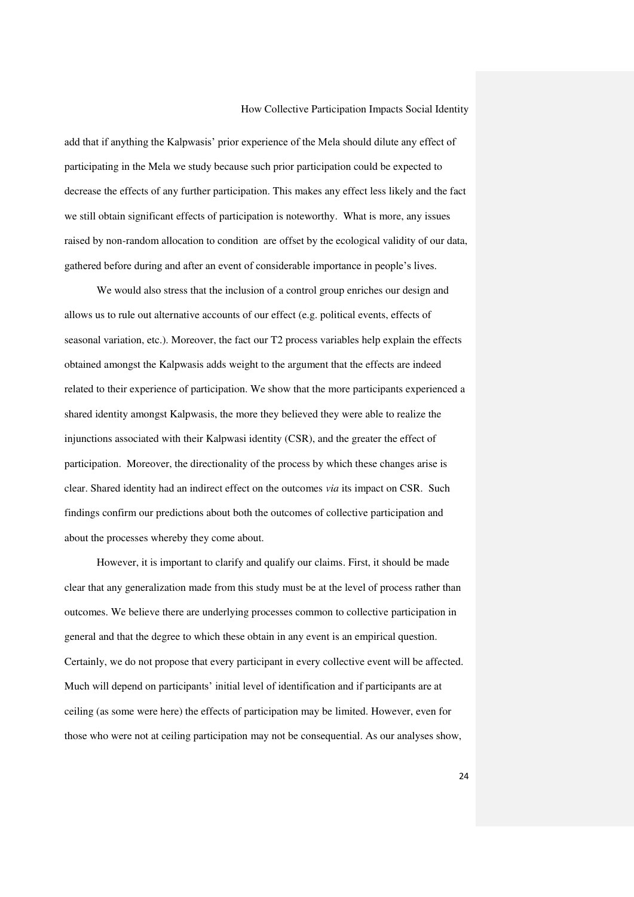add that if anything the Kalpwasis' prior experience of the Mela should dilute any effect of participating in the Mela we study because such prior participation could be expected to decrease the effects of any further participation. This makes any effect less likely and the fact we still obtain significant effects of participation is noteworthy. What is more, any issues raised by non-random allocation to condition are offset by the ecological validity of our data, gathered before during and after an event of considerable importance in people's lives.

We would also stress that the inclusion of a control group enriches our design and allows us to rule out alternative accounts of our effect (e.g. political events, effects of seasonal variation, etc.). Moreover, the fact our T2 process variables help explain the effects obtained amongst the Kalpwasis adds weight to the argument that the effects are indeed related to their experience of participation. We show that the more participants experienced a shared identity amongst Kalpwasis, the more they believed they were able to realize the injunctions associated with their Kalpwasi identity (CSR), and the greater the effect of participation. Moreover, the directionality of the process by which these changes arise is clear. Shared identity had an indirect effect on the outcomes *via* its impact on CSR. Such findings confirm our predictions about both the outcomes of collective participation and about the processes whereby they come about.

However, it is important to clarify and qualify our claims. First, it should be made clear that any generalization made from this study must be at the level of process rather than outcomes. We believe there are underlying processes common to collective participation in general and that the degree to which these obtain in any event is an empirical question. Certainly, we do not propose that every participant in every collective event will be affected. Much will depend on participants' initial level of identification and if participants are at ceiling (as some were here) the effects of participation may be limited. However, even for those who were not at ceiling participation may not be consequential. As our analyses show,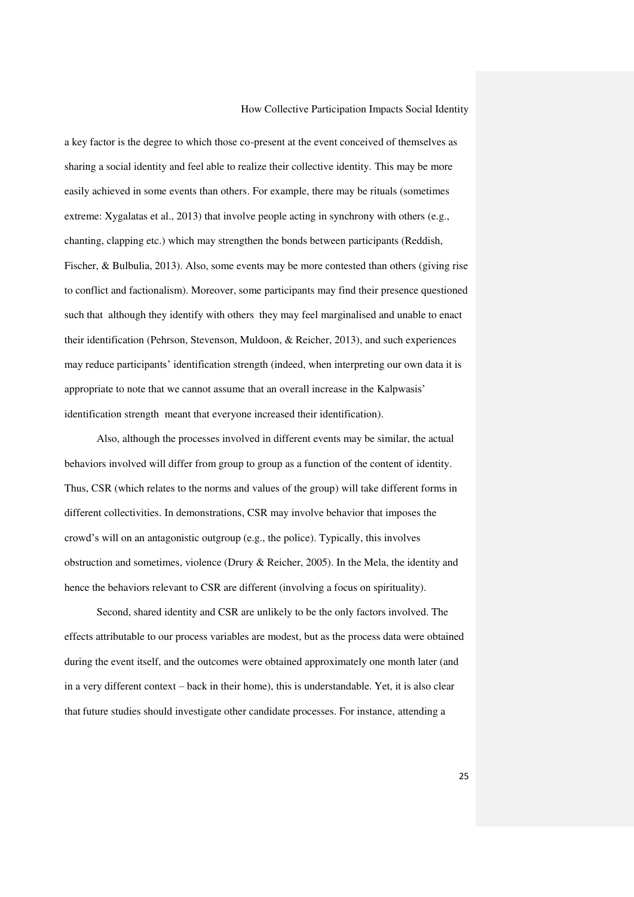a key factor is the degree to which those co-present at the event conceived of themselves as sharing a social identity and feel able to realize their collective identity. This may be more easily achieved in some events than others. For example, there may be rituals (sometimes extreme: Xygalatas et al., 2013) that involve people acting in synchrony with others (e.g., chanting, clapping etc.) which may strengthen the bonds between participants (Reddish, Fischer, & Bulbulia, 2013). Also, some events may be more contested than others (giving rise to conflict and factionalism). Moreover, some participants may find their presence questioned such that although they identify with others they may feel marginalised and unable to enact their identification (Pehrson, Stevenson, Muldoon, & Reicher, 2013), and such experiences may reduce participants' identification strength (indeed, when interpreting our own data it is appropriate to note that we cannot assume that an overall increase in the Kalpwasis' identification strength meant that everyone increased their identification).

Also, although the processes involved in different events may be similar, the actual behaviors involved will differ from group to group as a function of the content of identity. Thus, CSR (which relates to the norms and values of the group) will take different forms in different collectivities. In demonstrations, CSR may involve behavior that imposes the crowd's will on an antagonistic outgroup (e.g., the police). Typically, this involves obstruction and sometimes, violence (Drury & Reicher, 2005). In the Mela, the identity and hence the behaviors relevant to CSR are different (involving a focus on spirituality).

Second, shared identity and CSR are unlikely to be the only factors involved. The effects attributable to our process variables are modest, but as the process data were obtained during the event itself, and the outcomes were obtained approximately one month later (and in a very different context – back in their home), this is understandable. Yet, it is also clear that future studies should investigate other candidate processes. For instance, attending a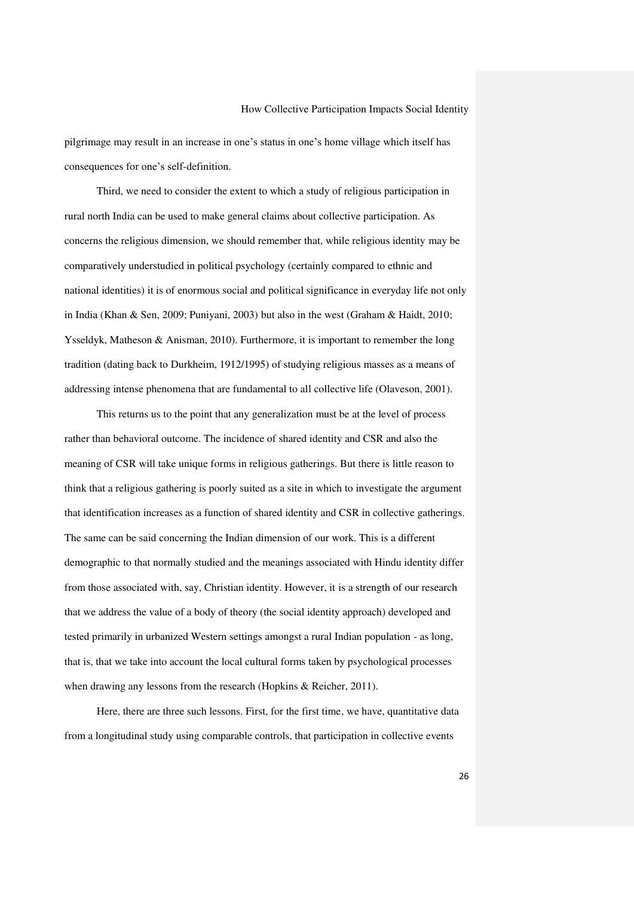pilgrimage may result in an increase in one's status in one's home village which itself has consequences for one's self-definition.

Third, we need to consider the extent to which a study of religious participation in rural north India can be used to make general claims about collective participation. As concerns the religious dimension, we should remember that, while religious identity may be comparatively understudied in political psychology (certainly compared to ethnic and national identities) it is of enormous social and political significance in everyday life not only in India (Khan & Sen, 2009; Puniyani, 2003) but also in the west (Graham & Haidt, 2010; Ysseldyk, Matheson & Anisman, 2010). Furthermore, it is important to remember the long tradition (dating back to Durkheim, 1912/1995) of studying religious masses as a means of addressing intense phenomena that are fundamental to all collective life (Olaveson, 2001).

This returns us to the point that any generalization must be at the level of process rather than behavioral outcome. The incidence of shared identity and CSR and also the meaning of CSR will take unique forms in religious gatherings. But there is little reason to think that a religious gathering is poorly suited as a site in which to investigate the argument that identification increases as a function of shared identity and CSR in collective gatherings. The same can be said concerning the Indian dimension of our work. This is a different demographic to that normally studied and the meanings associated with Hindu identity differ from those associated with, say, Christian identity. However, it is a strength of our research that we address the value of a body of theory (the social identity approach) developed and tested primarily in urbanized Western settings amongst a rural Indian population - as long, that is, that we take into account the local cultural forms taken by psychological processes when drawing any lessons from the research (Hopkins & Reicher, 2011).

Here, there are three such lessons. First, for the first time, we have, quantitative data from a longitudinal study using comparable controls, that participation in collective events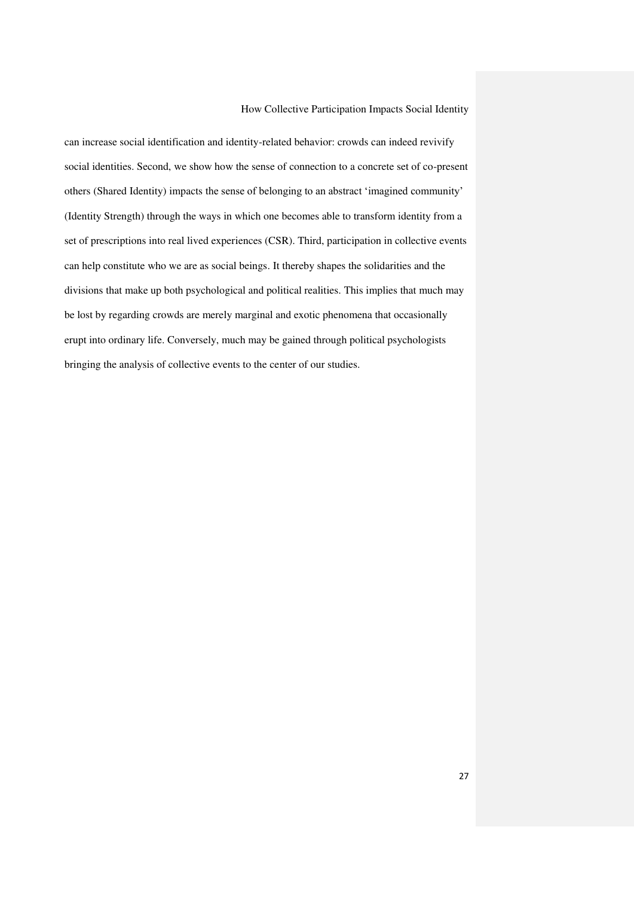can increase social identification and identity-related behavior: crowds can indeed revivify social identities. Second, we show how the sense of connection to a concrete set of co-present others (Shared Identity) impacts the sense of belonging to an abstract 'imagined community' (Identity Strength) through the ways in which one becomes able to transform identity from a set of prescriptions into real lived experiences (CSR). Third, participation in collective events can help constitute who we are as social beings. It thereby shapes the solidarities and the divisions that make up both psychological and political realities. This implies that much may be lost by regarding crowds are merely marginal and exotic phenomena that occasionally erupt into ordinary life. Conversely, much may be gained through political psychologists bringing the analysis of collective events to the center of our studies.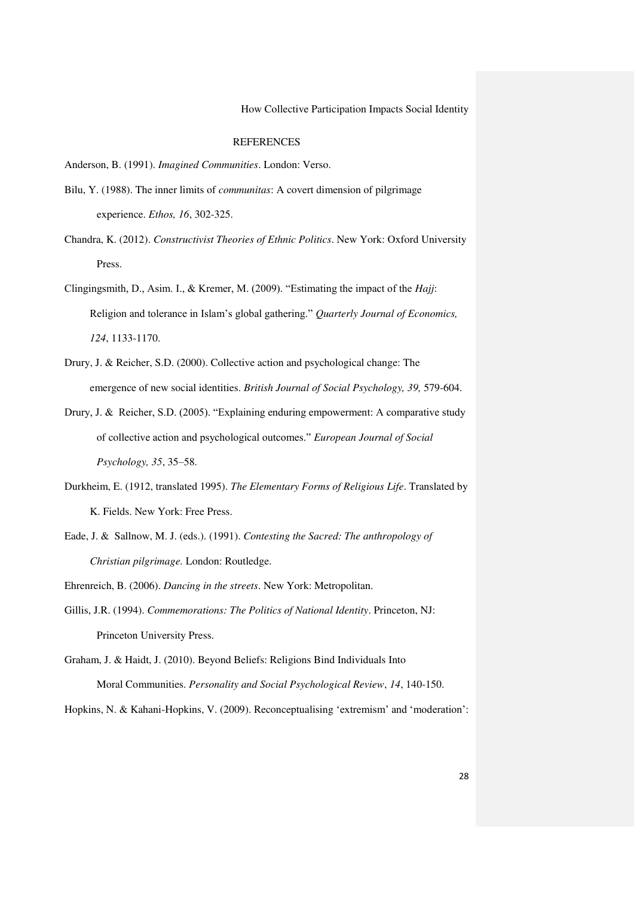## **REFERENCES**

Anderson, B. (1991). *Imagined Communities*. London: Verso.

- Bilu, Y. (1988). The inner limits of *communitas*: A covert dimension of pilgrimage experience. *Ethos, 16*, 302-325.
- Chandra, K. (2012). *Constructivist Theories of Ethnic Politics*. New York: Oxford University Press.
- Clingingsmith, D., Asim. I., & Kremer, M. (2009). "Estimating the impact of the *Hajj*: Religion and tolerance in Islam's global gathering." *Quarterly Journal of Economics, 124*, 1133-1170.
- Drury, J. & Reicher, S.D. (2000). Collective action and psychological change: The emergence of new social identities. *British Journal of Social Psychology, 39,* 579-604.
- Drury, J. & Reicher, S.D. (2005). "Explaining enduring empowerment: A comparative study of collective action and psychological outcomes." *European Journal of Social Psychology, 35*, 35–58.
- Durkheim, E. (1912, translated 1995). *The Elementary Forms of Religious Life*. Translated by K. Fields. New York: Free Press.
- Eade, J. & Sallnow, M. J. (eds.). (1991). *Contesting the Sacred: The anthropology of Christian pilgrimage.* London: Routledge.

Ehrenreich, B. (2006). *Dancing in the streets*. New York: Metropolitan.

- Gillis, J.R. (1994). *Commemorations: The Politics of National Identity*. Princeton, NJ: Princeton University Press.
- Graham, J. & Haidt, J. (2010). Beyond Beliefs: Religions Bind Individuals Into Moral Communities. *Personality and Social Psychological Review*, *14*, 140-150.

Hopkins, N. & Kahani-Hopkins, V. (2009). Reconceptualising 'extremism' and 'moderation':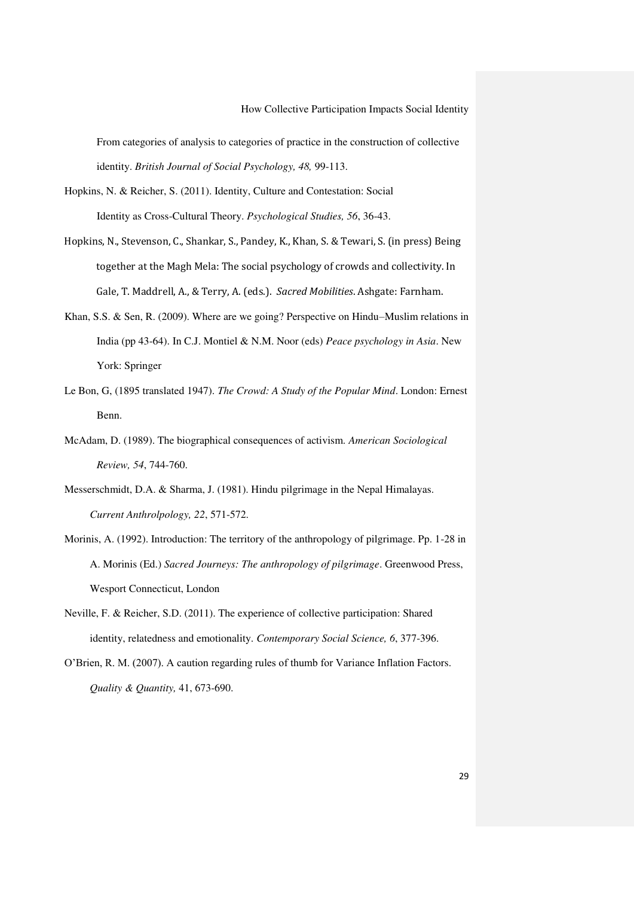From categories of analysis to categories of practice in the construction of collective identity. *British Journal of Social Psychology, 48,* 99-113.

- Hopkins, N. & Reicher, S. (2011). Identity, Culture and Contestation: Social Identity as Cross-Cultural Theory. *Psychological Studies, 56*, 36-43.
- Hopkins, N., Stevenson, C., Shankar, S., Pandey, K., Khan, S. & Tewari, S. (in press) Being together at the Magh Mela: The social psychology of crowds and collectivity. In Gale, T. Maddrell, A., & Terry, A. (eds.). *Sacred Mobilities*. Ashgate: Farnham.
- Khan, S.S. & Sen, R. (2009). Where are we going? Perspective on Hindu–Muslim relations in India (pp 43-64). In C.J. Montiel & N.M. Noor (eds) *Peace psychology in Asia*. New York: Springer
- Le Bon, G, (1895 translated 1947). *The Crowd: A Study of the Popular Mind*. London: Ernest Benn.
- McAdam, D. (1989). The biographical consequences of activism. *American Sociological Review, 54*, 744-760.
- Messerschmidt, D.A. & Sharma, J. (1981). Hindu pilgrimage in the Nepal Himalayas. *Current Anthrolpology, 22*, 571-572.
- Morinis, A. (1992). Introduction: The territory of the anthropology of pilgrimage. Pp. 1-28 in A. Morinis (Ed.) *Sacred Journeys: The anthropology of pilgrimage*. Greenwood Press, Wesport Connecticut, London
- Neville, F. & Reicher, S.D. (2011). The experience of collective participation: Shared identity, relatedness and emotionality. *Contemporary Social Science, 6*, 377-396.
- O'Brien, R. M. (2007). A caution regarding rules of thumb for Variance Inflation Factors. *Quality & Quantity,* 41, 673-690.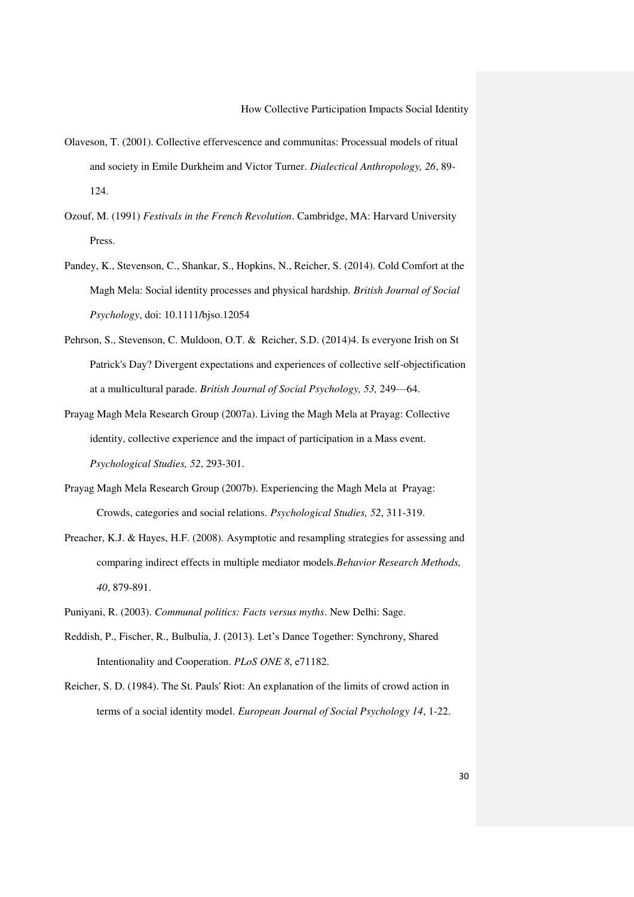- Olaveson, T. (2001). Collective effervescence and communitas: Processual models of ritual and society in Emile Durkheim and Victor Turner. *Dialectical Anthropology, 26*, 89- 124.
- Ozouf, M. (1991) *Festivals in the French Revolution*. Cambridge, MA: Harvard University Press.
- Pandey, K., Stevenson, C., Shankar, S., Hopkins, N., Reicher, S. (2014). Cold Comfort at the Magh Mela: Social identity processes and physical hardship. *British Journal of Social Psychology*, doi: 10.1111/bjso.12054
- Pehrson, S., Stevenson, C. Muldoon, O.T. & Reicher, S.D. (2014)4. Is everyone Irish on St Patrick's Day? Divergent expectations and experiences of collective self-objectification at a multicultural parade. *British Journal of Social Psychology, 53,* 249—64.
- Prayag Magh Mela Research Group (2007a). Living the Magh Mela at Prayag: Collective identity, collective experience and the impact of participation in a Mass event. *Psychological Studies, 52*, 293-301.
- Prayag Magh Mela Research Group (2007b). Experiencing the Magh Mela at Prayag: Crowds, categories and social relations. *Psychological Studies, 52*, 311-319.
- Preacher, K.J. & Hayes, H.F. (2008). Asymptotic and resampling strategies for assessing and comparing indirect effects in multiple mediator models.*Behavior Research Methods, 40*, 879-891.
- Puniyani, R. (2003). *Communal politics: Facts versus myths*. New Delhi: Sage.
- Reddish, P., Fischer, R., Bulbulia, J. (2013). Let's Dance Together: Synchrony, Shared Intentionality and Cooperation. *PLoS ONE 8*, e71182.
- Reicher, S. D. (1984). The St. Pauls' Riot: An explanation of the limits of crowd action in terms of a social identity model. *European Journal of Social Psychology 14*, 1-22.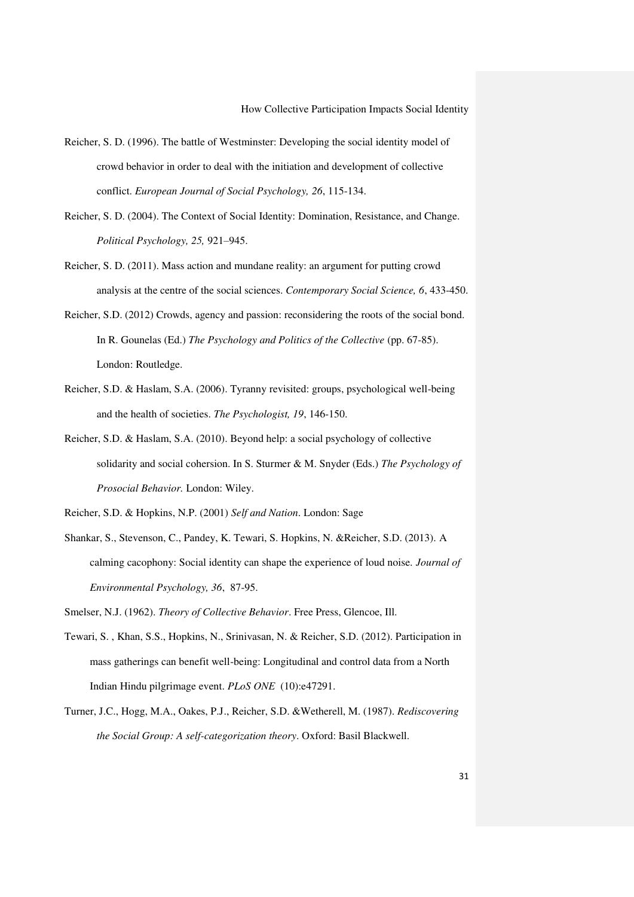- Reicher, S. D. (1996). The battle of Westminster: Developing the social identity model of crowd behavior in order to deal with the initiation and development of collective conflict. *European Journal of Social Psychology, 26*, 115-134.
- Reicher, S. D. (2004). The Context of Social Identity: Domination, Resistance, and Change. *Political Psychology, 25,* 921–945.
- Reicher, S. D. (2011). Mass action and mundane reality: an argument for putting crowd analysis at the centre of the social sciences. *Contemporary Social Science, 6*, 433-450.
- Reicher, S.D. (2012) Crowds, agency and passion: reconsidering the roots of the social bond. In R. Gounelas (Ed.) *The Psychology and Politics of the Collective* (pp. 67-85). London: Routledge.
- Reicher, S.D. & Haslam, S.A. (2006). Tyranny revisited: groups, psychological well-being and the health of societies. *The Psychologist, 19*, 146-150.
- Reicher, S.D. & Haslam, S.A. (2010). Beyond help: a social psychology of collective solidarity and social cohersion. In S. Sturmer & M. Snyder (Eds.) *The Psychology of Prosocial Behavior.* London: Wiley.

Reicher, S.D. & Hopkins, N.P. (2001) *Self and Nation*. London: Sage

Shankar, S., Stevenson, C., Pandey, K. Tewari, S. Hopkins, N. &Reicher, S.D. (2013). A calming cacophony: Social identity can shape the experience of loud noise. *Journal of Environmental Psychology, 36*, 87-95.

Smelser, N.J. (1962). *Theory of Collective Behavior*. Free Press, Glencoe, Ill.

- Tewari, S. , Khan, S.S., Hopkins, N., Srinivasan, N. & Reicher, S.D. (2012). Participation in mass gatherings can benefit well-being: Longitudinal and control data from a North Indian Hindu pilgrimage event. *PLoS ONE* (10):e47291.
- Turner, J.C., Hogg, M.A., Oakes, P.J., Reicher, S.D. &Wetherell, M. (1987). *Rediscovering the Social Group: A self-categorization theory*. Oxford: Basil Blackwell.